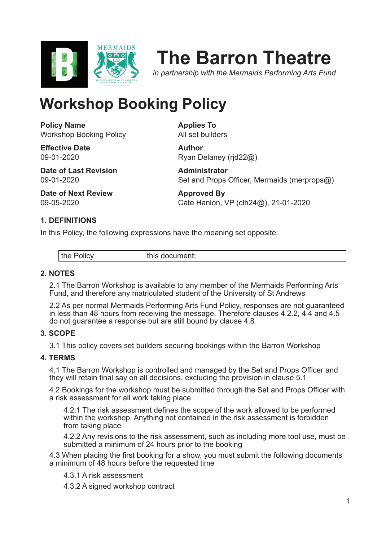

# **The Barron Theatre**

*in partnership with the Mermaids Performing Arts Fund*

## **Workshop Booking Policy**

**Policy Name** Workshop Booking Policy

**Effective Date** 09-01-2020

**Date of Last Revision** 09-01-2020

Ryan Delaney (rjd22@) **Administrator** Set and Props Officer, Mermaids (merprops@)

**Date of Next Review** 09-05-2020

**Approved By** Cate Hanlon, VP (clh24@), 21-01-2020

### **1. DEFINITIONS**

In this Policy, the following expressions have the meaning set opposite:

| .<br>™e.<br>$\sim$ $\sim$ $\sim$ $\sim$ | <b>THE MANUFILM</b> |
|-----------------------------------------|---------------------|
|-----------------------------------------|---------------------|

**Applies To** All set builders

**Author**

#### **2. NOTES**

2.1 The Barron Workshop is available to any member of the Mermaids Performing Arts Fund, and therefore any matriculated student of the University of St Andrews

2.2 As per normal Mermaids Performing Arts Fund Policy, responses are not guaranteed in less than 48 hours from receiving the message. Therefore clauses 4.2.2, 4.4 and 4.5 do not guarantee a response but are still bound by clause 4.8

#### **3. SCOPE**

3.1 This policy covers set builders securing bookings within the Barron Workshop

#### **4. TERMS**

4.1 The Barron Workshop is controlled and managed by the Set and Props Officer and they will retain final say on all decisions, excluding the provision in clause 5.1

4.2 Bookings for the workshop must be submitted through the Set and Props Officer with a risk assessment for all work taking place

4.2.1 The risk assessment defines the scope of the work allowed to be performed within the workshop. Anything not contained in the risk assessment is forbidden from taking place

4.2.2 Any revisions to the risk assessment, such as including more tool use, must be submitted a minimum of 24 hours prior to the booking

4.3 When placing the first booking for a show, you must submit the following documents a minimum of 48 hours before the requested time

4.3.1 A risk assessment

4.3.2 A signed workshop contract